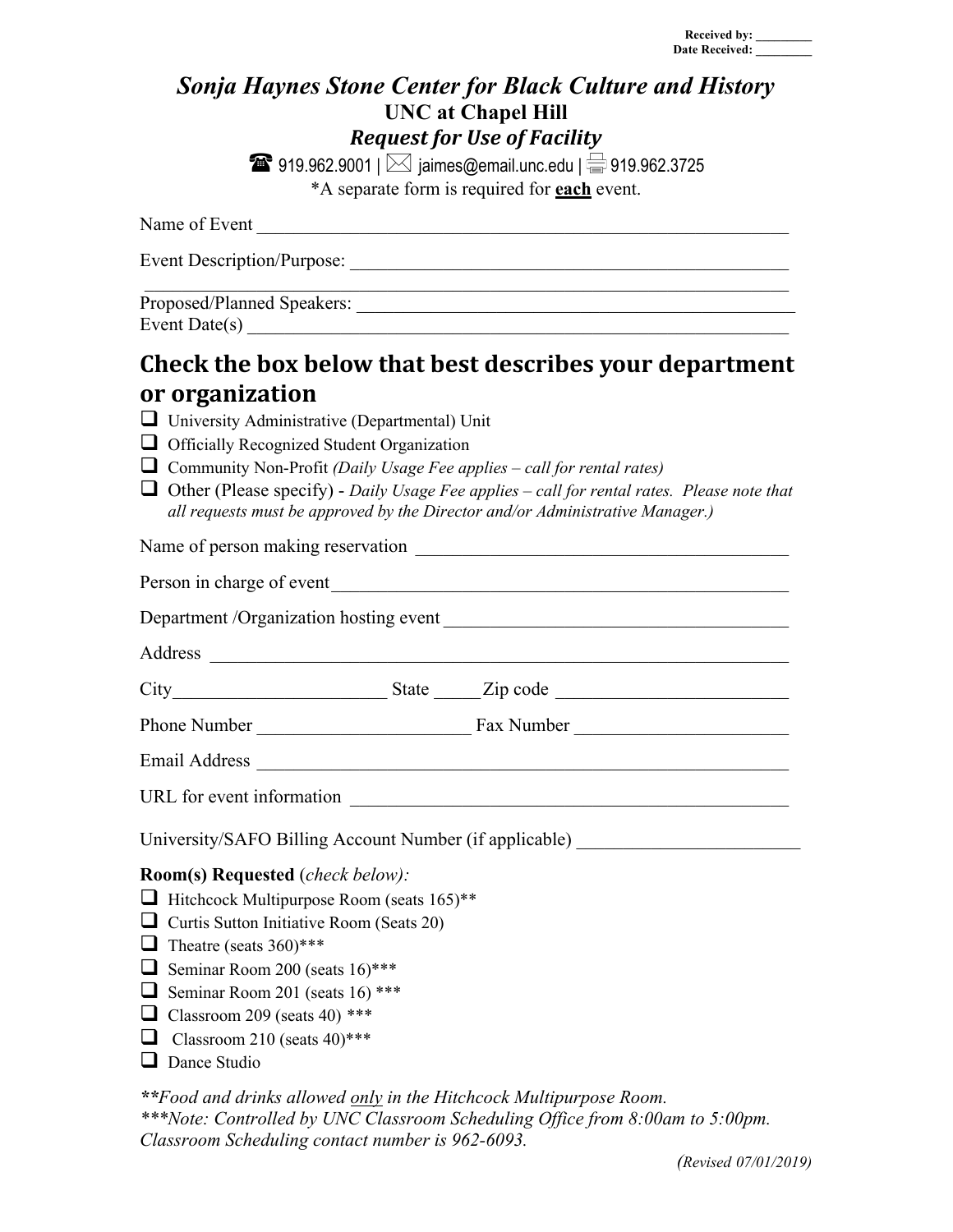## *Sonja Haynes Stone Center for Black Culture and History* **UNC at Chapel Hill** *Request for Use of Facility*

**1**919.962.9001 |  $\bowtie$  jaimes@email.unc.edu |  $\implies$  919.962.3725 \*A separate form is required for **each** event.

| Name of Event                     |  |
|-----------------------------------|--|
| <b>Event Description/Purpose:</b> |  |
| Proposed/Planned Speakers:        |  |

Event Date $(s)$ 

# Check the box below that best describes your department **or organization**

|                                                                                  | University Administrative (Departmental) Unit                                                                                                                                      |  |  |  |
|----------------------------------------------------------------------------------|------------------------------------------------------------------------------------------------------------------------------------------------------------------------------------|--|--|--|
|                                                                                  | $\Box$ Officially Recognized Student Organization                                                                                                                                  |  |  |  |
|                                                                                  | $\Box$ Community Non-Profit (Daily Usage Fee applies – call for rental rates)                                                                                                      |  |  |  |
|                                                                                  | $\Box$ Other (Please specify) - Daily Usage Fee applies – call for rental rates. Please note that<br>all requests must be approved by the Director and/or Administrative Manager.) |  |  |  |
|                                                                                  |                                                                                                                                                                                    |  |  |  |
|                                                                                  |                                                                                                                                                                                    |  |  |  |
|                                                                                  |                                                                                                                                                                                    |  |  |  |
|                                                                                  |                                                                                                                                                                                    |  |  |  |
|                                                                                  |                                                                                                                                                                                    |  |  |  |
|                                                                                  |                                                                                                                                                                                    |  |  |  |
|                                                                                  |                                                                                                                                                                                    |  |  |  |
|                                                                                  |                                                                                                                                                                                    |  |  |  |
| University/SAFO Billing Account Number (if applicable) _________________________ |                                                                                                                                                                                    |  |  |  |
| <b>Room(s) Requested</b> ( <i>check below)</i> :                                 |                                                                                                                                                                                    |  |  |  |
|                                                                                  | $\Box$ Hitchcock Multipurpose Room (seats 165) <sup>**</sup>                                                                                                                       |  |  |  |
|                                                                                  | $\Box$ Curtis Sutton Initiative Room (Seats 20)                                                                                                                                    |  |  |  |
|                                                                                  | $\Box$ Theatre (seats 360)***                                                                                                                                                      |  |  |  |
|                                                                                  | Seminar Room 200 (seats $16$ )***                                                                                                                                                  |  |  |  |
|                                                                                  | Seminar Room 201 (seats 16) ***                                                                                                                                                    |  |  |  |
|                                                                                  | $\Box$ Classroom 209 (seats 40) ***                                                                                                                                                |  |  |  |
|                                                                                  | $\Box$ Classroom 210 (seats 40)***<br>$\Box$ Dance Studio                                                                                                                          |  |  |  |
|                                                                                  |                                                                                                                                                                                    |  |  |  |
|                                                                                  |                                                                                                                                                                                    |  |  |  |

*\*\*Food and drinks allowed only in the Hitchcock Multipurpose Room. \*\*\*Note: Controlled by UNC Classroom Scheduling Office from 8:00am to 5:00pm. Classroom Scheduling contact number is 962-6093.*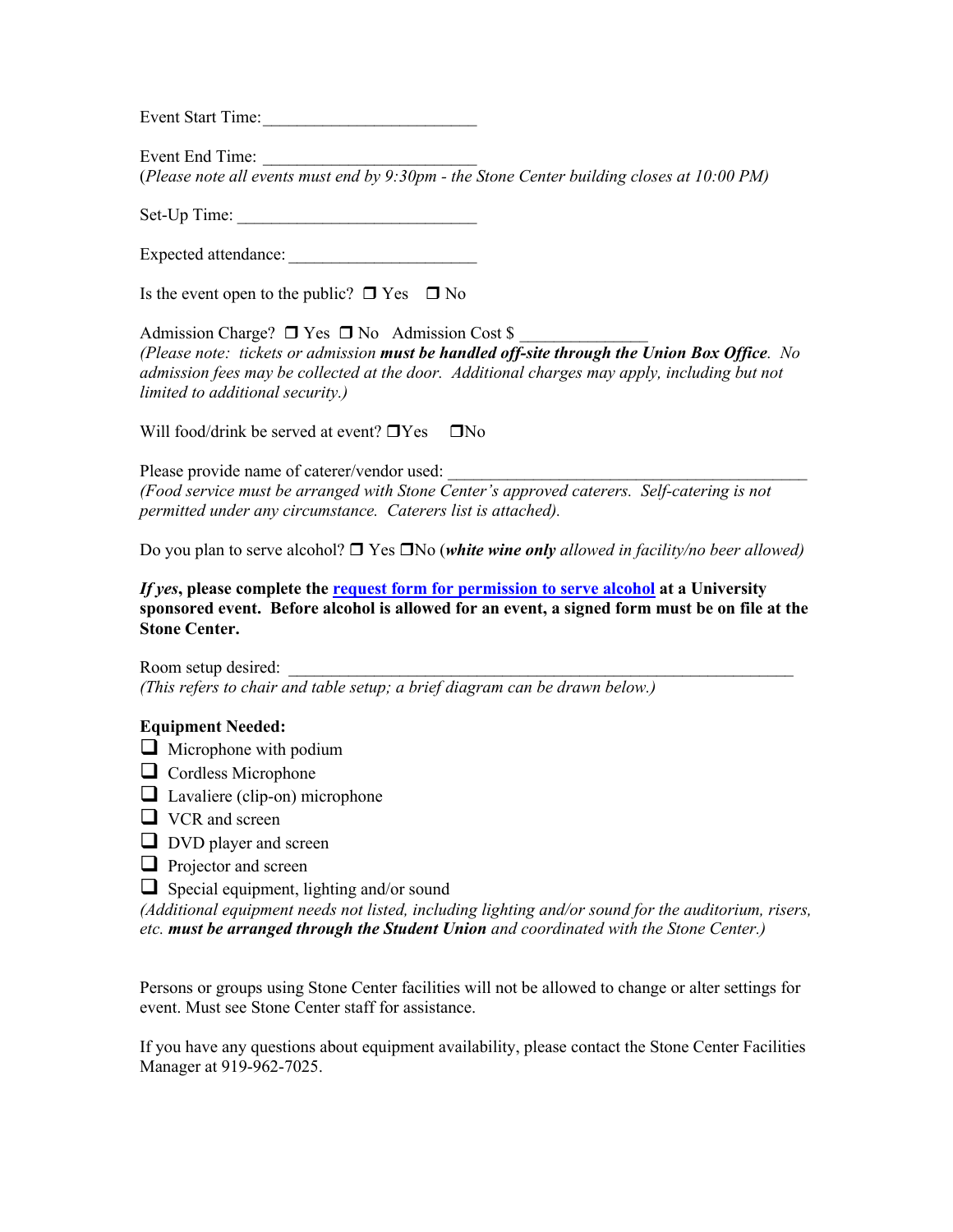Event Start Time:

Event End Time: (*Please note all events must end by 9:30pm - the Stone Center building closes at 10:00 PM)*

Set-Up Time:

Expected attendance: \_\_\_\_\_\_\_\_\_\_\_\_\_\_\_\_\_\_\_\_\_\_

Is the event open to the public?  $\Box$  Yes  $\Box$  No

Admission Charge?  $\Box$  Yes  $\Box$  No Admission Cost \$ *(Please note: tickets or admission must be handled off-site through the Union Box Office. No admission fees may be collected at the door. Additional charges may apply, including but not limited to additional security.)*

Will food/drink be served at event?  $\Box$  Yes  $\Box$  No

Please provide name of caterer/vendor used: *(Food service must be arranged with Stone Center's approved caterers. Self-catering is not permitted under any circumstance. Caterers list is attached).*

Do you plan to serve alcohol?  $\Box$  Yes  $\Box$ No (*white wine only allowed in facility/no beer allowed*)

*If yes***, please complete the request form for permission to serve alcohol at a University sponsored event. Before alcohol is allowed for an event, a signed form must be on file at the Stone Center.**

Room setup desired: *(This refers to chair and table setup; a brief diagram can be drawn below.)*

#### **Equipment Needed:**

- $\Box$  Microphone with podium
- $\Box$  Cordless Microphone
- $\Box$  Lavaliere (clip-on) microphone
- $\Box$  VCR and screen
- $\Box$  DVD player and screen
- $\Box$  Projector and screen
- $\Box$  Special equipment, lighting and/or sound

*(Additional equipment needs not listed, including lighting and/or sound for the auditorium, risers, etc. must be arranged through the Student Union and coordinated with the Stone Center.)*

Persons or groups using Stone Center facilities will not be allowed to change or alter settings for event. Must see Stone Center staff for assistance.

If you have any questions about equipment availability, please contact the Stone Center Facilities Manager at 919-962-7025.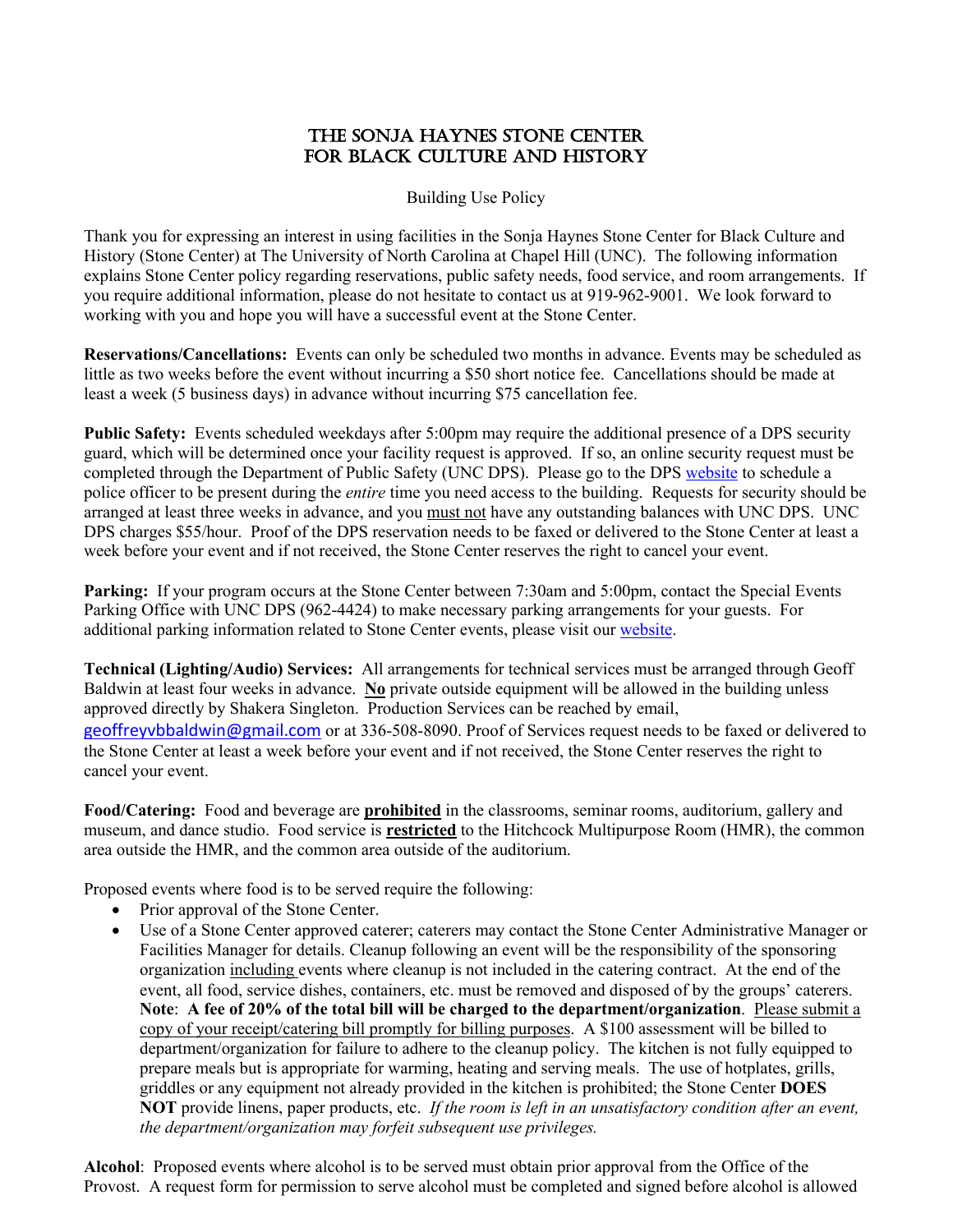#### THE SONJA HAYNES STONE CENTER FOR BLACK CULTURE AND HISTORY

Building Use Policy

Thank you for expressing an interest in using facilities in the Sonja Haynes Stone Center for Black Culture and History (Stone Center) at The University of North Carolina at Chapel Hill (UNC). The following information explains Stone Center policy regarding reservations, public safety needs, food service, and room arrangements. If you require additional information, please do not hesitate to contact us at 919-962-9001. We look forward to working with you and hope you will have a successful event at the Stone Center.

**Reservations/Cancellations:** Events can only be scheduled two months in advance. Events may be scheduled as little as two weeks before the event without incurring a \$50 short notice fee. Cancellations should be made at least a week (5 business days) in advance without incurring \$75 cancellation fee.

Public Safety: Events scheduled weekdays after 5:00pm may require the additional presence of a DPS security guard, which will be determined once your facility request is approved. If so, an online security request must be completed through the Department of Public Safety (UNC DPS). Please go to the DPS website to schedule a police officer to be present during the *entire* time you need access to the building. Requests for security should be arranged at least three weeks in advance, and you must not have any outstanding balances with UNC DPS. UNC DPS charges \$55/hour. Proof of the DPS reservation needs to be faxed or delivered to the Stone Center at least a week before your event and if not received, the Stone Center reserves the right to cancel your event.

Parking: If your program occurs at the Stone Center between 7:30am and 5:00pm, contact the Special Events Parking Office with UNC DPS (962-4424) to make necessary parking arrangements for your guests. For additional parking information related to Stone Center events, please visit our website.

**Technical (Lighting/Audio) Services:** All arrangements for technical services must be arranged through Geoff Baldwin at least four weeks in advance. **No** private outside equipment will be allowed in the building unless approved directly by Shakera Singleton. Production Services can be reached by email, geoffreyvbbaldwin@gmail.com or at 336-508-8090. Proof of Services request needs to be faxed or delivered to the Stone Center at least a week before your event and if not received, the Stone Center reserves the right to cancel your event.

**Food/Catering:** Food and beverage are **prohibited** in the classrooms, seminar rooms, auditorium, gallery and museum, and dance studio. Food service is **restricted** to the Hitchcock Multipurpose Room (HMR), the common area outside the HMR, and the common area outside of the auditorium.

Proposed events where food is to be served require the following:

- Prior approval of the Stone Center.
- Use of a Stone Center approved caterer; caterers may contact the Stone Center Administrative Manager or Facilities Manager for details. Cleanup following an event will be the responsibility of the sponsoring organization including events where cleanup is not included in the catering contract. At the end of the event, all food, service dishes, containers, etc. must be removed and disposed of by the groups' caterers. **Note**: **A fee of 20% of the total bill will be charged to the department/organization**. Please submit a copy of your receipt/catering bill promptly for billing purposes. A \$100 assessment will be billed to department/organization for failure to adhere to the cleanup policy. The kitchen is not fully equipped to prepare meals but is appropriate for warming, heating and serving meals. The use of hotplates, grills, griddles or any equipment not already provided in the kitchen is prohibited; the Stone Center **DOES NOT** provide linens, paper products, etc. *If the room is left in an unsatisfactory condition after an event, the department/organization may forfeit subsequent use privileges.*

**Alcohol**: Proposed events where alcohol is to be served must obtain prior approval from the Office of the Provost. A request form for permission to serve alcohol must be completed and signed before alcohol is allowed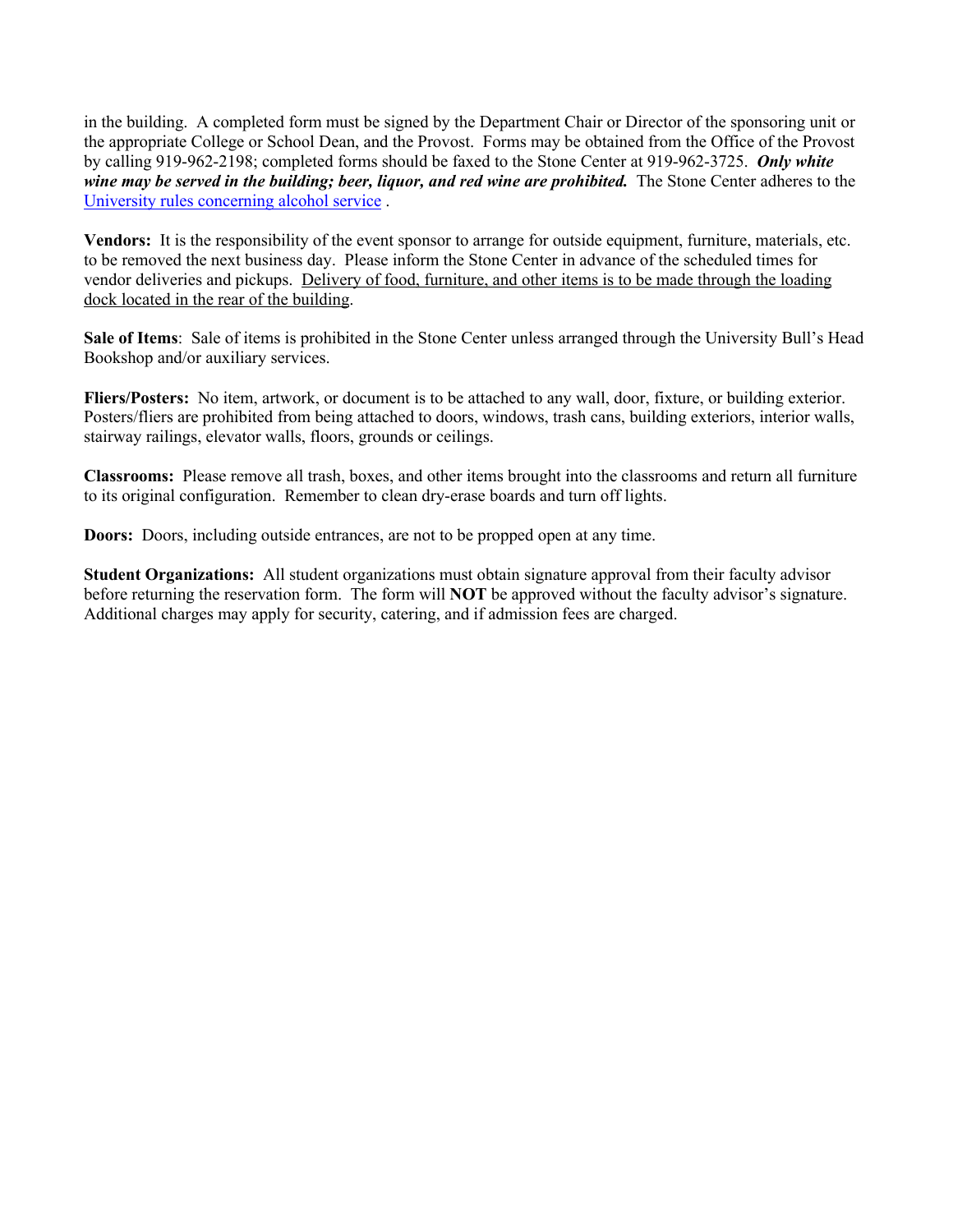in the building. A completed form must be signed by the Department Chair or Director of the sponsoring unit or the appropriate College or School Dean, and the Provost. Forms may be obtained from the Office of the Provost by calling 919-962-2198; completed forms should be faxed to the Stone Center at 919-962-3725. *Only white wine may be served in the building; beer, liquor, and red wine are prohibited.* The Stone Center adheres to the University rules concerning alcohol service .

**Vendors:** It is the responsibility of the event sponsor to arrange for outside equipment, furniture, materials, etc. to be removed the next business day. Please inform the Stone Center in advance of the scheduled times for vendor deliveries and pickups. Delivery of food, furniture, and other items is to be made through the loading dock located in the rear of the building.

**Sale of Items**: Sale of items is prohibited in the Stone Center unless arranged through the University Bull's Head Bookshop and/or auxiliary services.

**Fliers/Posters:** No item, artwork, or document is to be attached to any wall, door, fixture, or building exterior. Posters/fliers are prohibited from being attached to doors, windows, trash cans, building exteriors, interior walls, stairway railings, elevator walls, floors, grounds or ceilings.

**Classrooms:** Please remove all trash, boxes, and other items brought into the classrooms and return all furniture to its original configuration. Remember to clean dry-erase boards and turn off lights.

**Doors:** Doors, including outside entrances, are not to be propped open at any time.

**Student Organizations:** All student organizations must obtain signature approval from their faculty advisor before returning the reservation form. The form will **NOT** be approved without the faculty advisor's signature. Additional charges may apply for security, catering, and if admission fees are charged.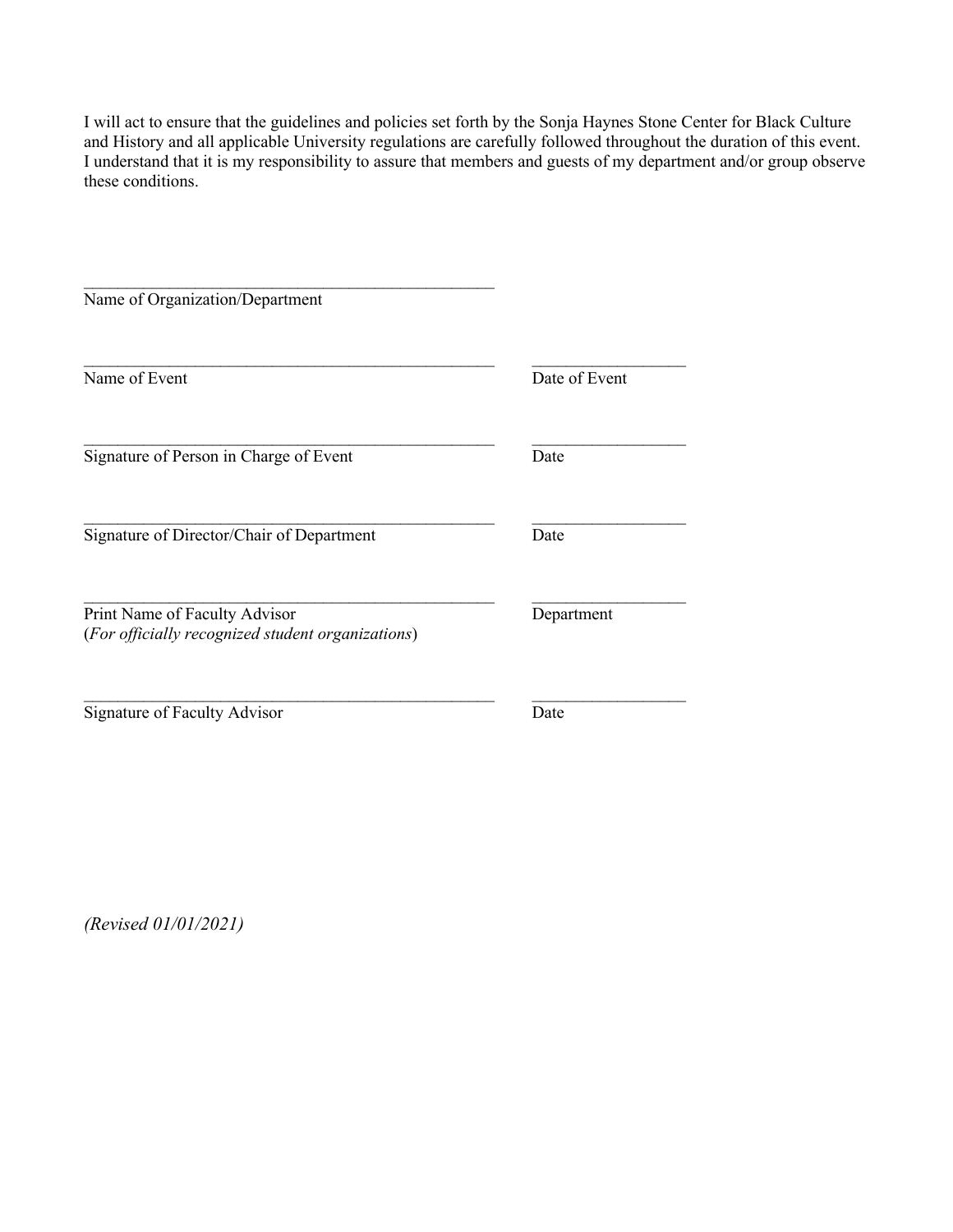I will act to ensure that the guidelines and policies set forth by the Sonja Haynes Stone Center for Black Culture and History and all applicable University regulations are carefully followed throughout the duration of this event. I understand that it is my responsibility to assure that members and guests of my department and/or group observe these conditions.

| Name of Organization/Department                                                    |               |
|------------------------------------------------------------------------------------|---------------|
| Name of Event                                                                      | Date of Event |
| Signature of Person in Charge of Event                                             | Date          |
| Signature of Director/Chair of Department                                          | Date          |
| Print Name of Faculty Advisor<br>(For officially recognized student organizations) | Department    |
| Signature of Faculty Advisor                                                       | Date          |

*(Revised 01/01/2021)*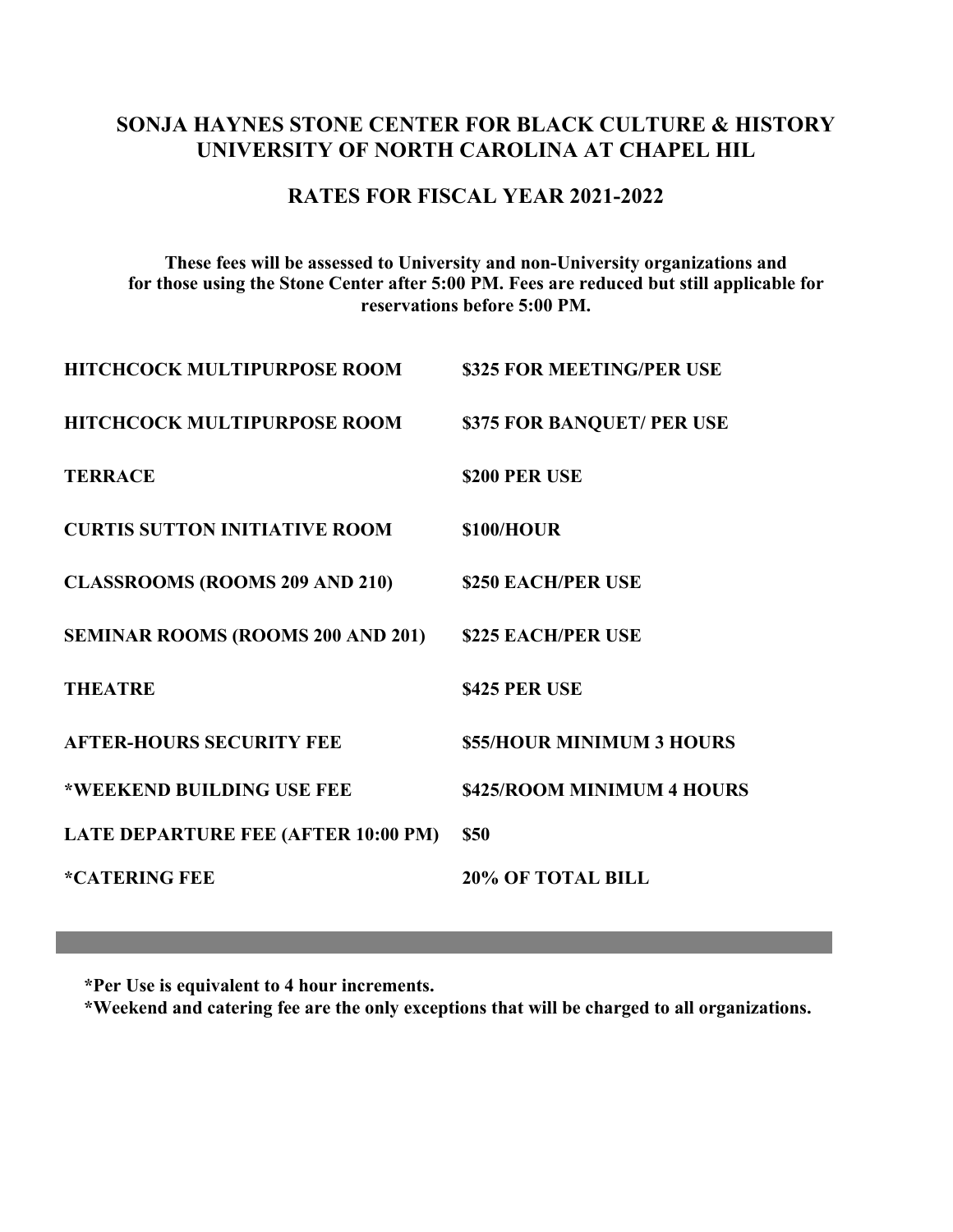#### **SONJA HAYNES STONE CENTER FOR BLACK CULTURE & HISTORY UNIVERSITY OF NORTH CAROLINA AT CHAPEL HIL**

#### **RATES FOR FISCAL YEAR 2021-2022**

**These fees will be assessed to University and non-University organizations and for those using the Stone Center after 5:00 PM. Fees are reduced but still applicable for reservations before 5:00 PM.**

| <b>HITCHCOCK MULTIPURPOSE ROOM</b>         | \$325 FOR MEETING/PER USE  |
|--------------------------------------------|----------------------------|
| <b>HITCHCOCK MULTIPURPOSE ROOM</b>         | \$375 FOR BANQUET/ PER USE |
| <b>TERRACE</b>                             | \$200 PER USE              |
| <b>CURTIS SUTTON INITIATIVE ROOM</b>       | \$100/HOUR                 |
| <b>CLASSROOMS (ROOMS 209 AND 210)</b>      | \$250 EACH/PER USE         |
| <b>SEMINAR ROOMS (ROOMS 200 AND 201)</b>   | <b>\$225 EACH/PER USE</b>  |
| <b>THEATRE</b>                             | \$425 PER USE              |
| <b>AFTER-HOURS SECURITY FEE</b>            | \$55/HOUR MINIMUM 3 HOURS  |
| *WEEKEND BUILDING USE FEE                  | \$425/ROOM MINIMUM 4 HOURS |
| <b>LATE DEPARTURE FEE (AFTER 10:00 PM)</b> | <b>\$50</b>                |
| *CATERING FEE                              | <b>20% OF TOTAL BILL</b>   |
|                                            |                            |

**\*Per Use is equivalent to 4 hour increments.**

**\*Weekend and catering fee are the only exceptions that will be charged to all organizations.**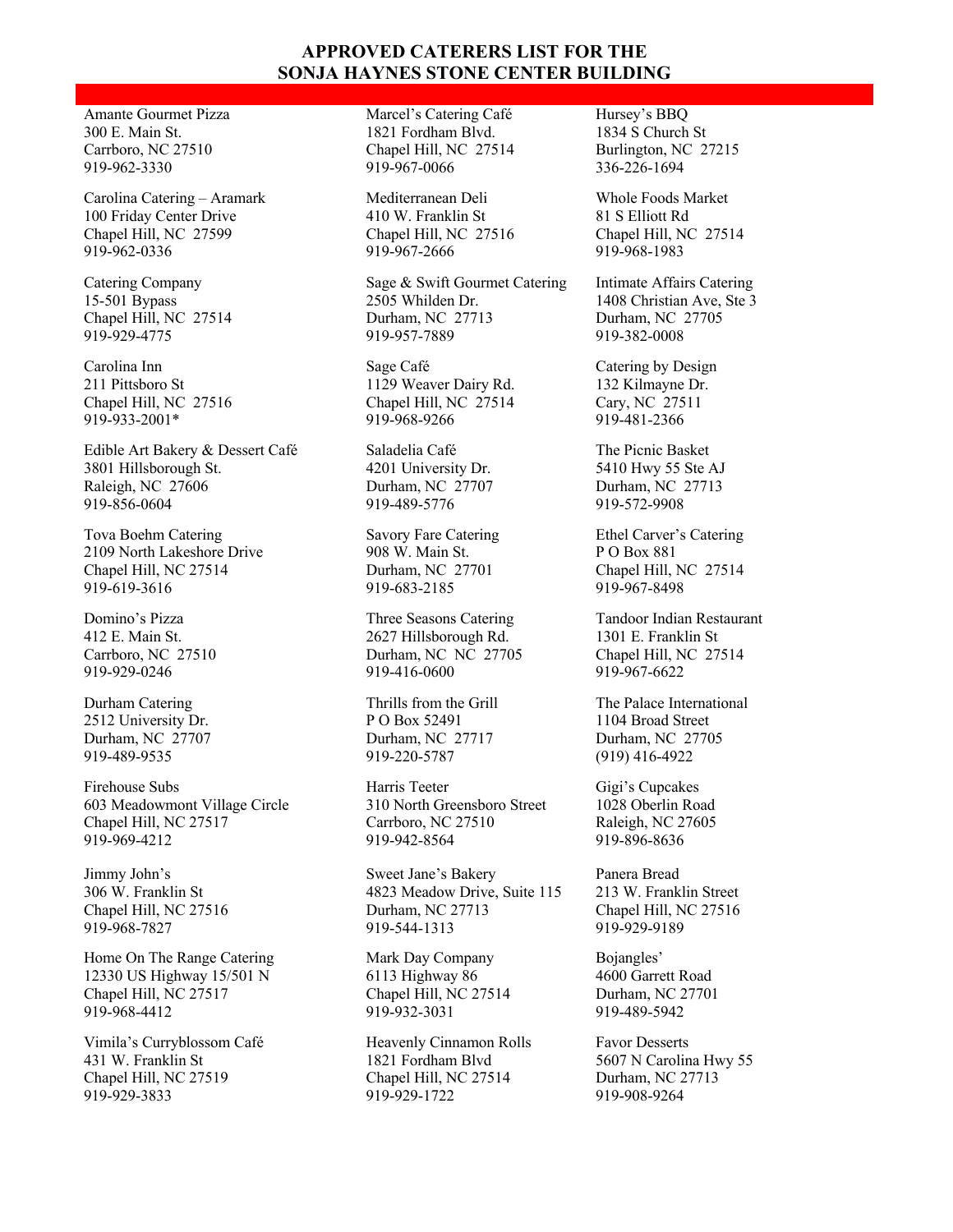#### **APPROVED CATERERS LIST FOR THE SONJA HAYNES STONE CENTER BUILDING**

Amante Gourmet Pizza 300 E. Main St. Carrboro, NC 27510 919-962-3330

Carolina Catering – Aramark 100 Friday Center Drive Chapel Hill, NC 27599 919-962-0336

Catering Company 15-501 Bypass Chapel Hill, NC 27514 919-929-4775

Carolina Inn 211 Pittsboro St Chapel Hill, NC 27516 919-933-2001\*

Edible Art Bakery & Dessert Café 3801 Hillsborough St. Raleigh, NC 27606 919-856-0604

Tova Boehm Catering 2109 North Lakeshore Drive Chapel Hill, NC 27514 919-619-3616

Domino's Pizza 412 E. Main St. Carrboro, NC 27510 919-929-0246

Durham Catering 2512 University Dr. Durham, NC 27707 919-489-9535

Firehouse Subs 603 Meadowmont Village Circle Chapel Hill, NC 27517 919-969-4212

Jimmy John's 306 W. Franklin St Chapel Hill, NC 27516 919-968-7827

Home On The Range Catering 12330 US Highway 15/501 N Chapel Hill, NC 27517 919-968-4412

Vimila's Curryblossom Café 431 W. Franklin St Chapel Hill, NC 27519 919-929-3833

Marcel's Catering Café 1821 Fordham Blvd. Chapel Hill, NC 27514 919-967-0066

Mediterranean Deli 410 W. Franklin St Chapel Hill, NC 27516 919-967-2666

Sage & Swift Gourmet Catering 2505 Whilden Dr. Durham, NC 27713 919-957-7889

Sage Café 1129 Weaver Dairy Rd. Chapel Hill, NC 27514 919-968-9266

Saladelia Café 4201 University Dr. Durham, NC 27707 919-489-5776

Savory Fare Catering 908 W. Main St. Durham, NC 27701 919-683-2185

Three Seasons Catering 2627 Hillsborough Rd. Durham, NC NC 27705 919-416-0600

Thrills from the Grill P O Box 52491 Durham, NC 27717 919-220-5787

Harris Teeter 310 North Greensboro Street Carrboro, NC 27510 919-942-8564

Sweet Jane's Bakery 4823 Meadow Drive, Suite 115 Durham, NC 27713 919-544-1313

Mark Day Company 6113 Highway 86 Chapel Hill, NC 27514 919-932-3031

Heavenly Cinnamon Rolls 1821 Fordham Blvd Chapel Hill, NC 27514 919-929-1722

Hursey's BBQ 1834 S Church St Burlington, NC 27215 336-226-1694

Whole Foods Market 81 S Elliott Rd Chapel Hill, NC 27514 919-968-1983

Intimate Affairs Catering 1408 Christian Ave, Ste 3 Durham, NC 27705 919-382-0008

Catering by Design 132 Kilmayne Dr. Cary, NC 27511 919-481-2366

The Picnic Basket 5410 Hwy 55 Ste AJ Durham, NC 27713 919-572-9908

Ethel Carver's Catering P O Box 881 Chapel Hill, NC 27514 919-967-8498

Tandoor Indian Restaurant 1301 E. Franklin St Chapel Hill, NC 27514 919-967-6622

The Palace International 1104 Broad Street Durham, NC 27705 (919) 416-4922

Gigi's Cupcakes 1028 Oberlin Road Raleigh, NC 27605 919-896-8636

Panera Bread 213 W. Franklin Street Chapel Hill, NC 27516 919-929-9189

Bojangles' 4600 Garrett Road Durham, NC 27701 919-489-5942

Favor Desserts 5607 N Carolina Hwy 55 Durham, NC 27713 919-908-9264